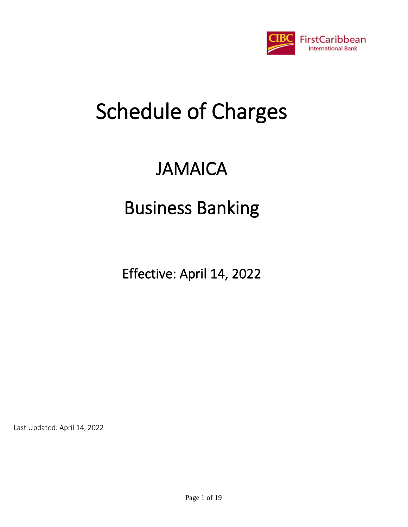

# JAMAICA

# Business Banking

Effective: April 14, 2022

Last Updated: April 14, 2022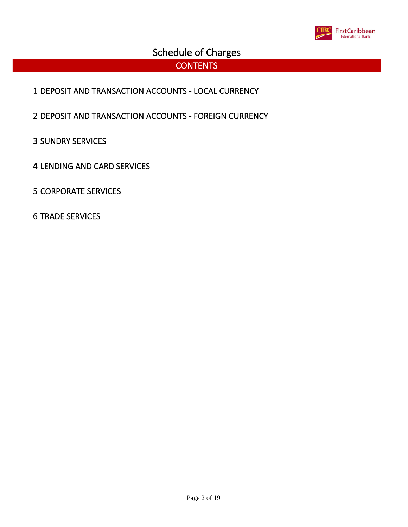

#### **CONTENTS**

- DEPOSIT AND TRANSACTION ACCOUNTS LOCAL CURRENCY
- DEPOSIT AND TRANSACTION ACCOUNTS FOREIGN CURRENCY
- SUNDRY SERVICES
- LENDING AND CARD SERVICES
- CORPORATE SERVICES
- TRADE SERVICES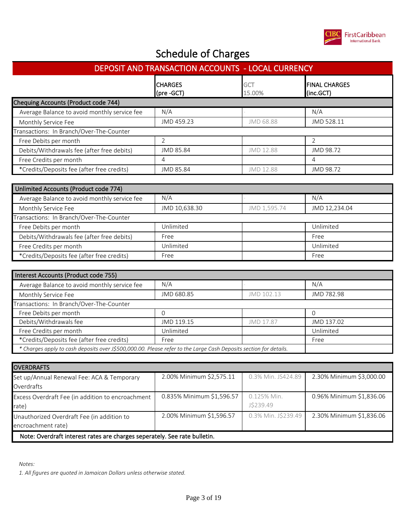

| DEPOSIT AND TRANSACTION ACCOUNTS - LOCAL CURRENCY |                               |                      |                                   |  |  |  |  |
|---------------------------------------------------|-------------------------------|----------------------|-----------------------------------|--|--|--|--|
|                                                   | <b>ICHARGES</b><br>(pre -GCT) | <b>GCT</b><br>15.00% | <b>FINAL CHARGES</b><br>(inc.GCT) |  |  |  |  |
| Chequing Accounts (Product code 744)              |                               |                      |                                   |  |  |  |  |
| Average Balance to avoid monthly service fee      | N/A                           |                      | N/A                               |  |  |  |  |
| Monthly Service Fee                               | JMD 459.23                    | JMD 68.88            | JMD 528.11                        |  |  |  |  |
| Transactions: In Branch/Over-The-Counter          |                               |                      |                                   |  |  |  |  |
| Free Debits per month                             |                               |                      |                                   |  |  |  |  |
| Debits/Withdrawals fee (after free debits)        | JMD 85.84                     | JMD 12.88            | JMD 98.72                         |  |  |  |  |
| Free Credits per month                            | 4                             |                      | 4                                 |  |  |  |  |
| *Credits/Deposits fee (after free credits)        | JMD 85.84                     | JMD 12.88            | JMD 98.72                         |  |  |  |  |

| Unlimited Accounts (Product code 774)        |               |              |               |  |  |
|----------------------------------------------|---------------|--------------|---------------|--|--|
| Average Balance to avoid monthly service fee | N/A           |              | N/A           |  |  |
| Monthly Service Fee                          | JMD 10,638.30 | JMD 1,595.74 | JMD 12,234.04 |  |  |
| Transactions: In Branch/Over-The-Counter     |               |              |               |  |  |
| Free Debits per month                        | Unlimited     |              | Unlimited     |  |  |
| Debits/Withdrawals fee (after free debits)   | Free          |              | Free          |  |  |
| Free Credits per month                       | Unlimited     |              | Unlimited     |  |  |
| *Credits/Deposits fee (after free credits)   | Free          |              | Free          |  |  |

| Interest Accounts (Product code 755)                                                                              |            |            |            |  |  |
|-------------------------------------------------------------------------------------------------------------------|------------|------------|------------|--|--|
| Average Balance to avoid monthly service fee                                                                      | N/A        |            | N/A        |  |  |
| Monthly Service Fee                                                                                               | JMD 680.85 | JMD 102.13 | JMD 782.98 |  |  |
| Transactions: In Branch/Over-The-Counter                                                                          |            |            |            |  |  |
| Free Debits per month                                                                                             |            |            |            |  |  |
| Debits/Withdrawals fee                                                                                            | JMD 119.15 | JMD 17.87  | JMD 137.02 |  |  |
| Free Credits per month                                                                                            | Unlimited  |            | Unlimited  |  |  |
| *Credits/Deposits fee (after free credits)                                                                        | Free       |            | Free       |  |  |
| * Charges apply to cash deposits over J\$500,000.00. Please refer to the Large Cash Deposits section for details. |            |            |            |  |  |

| <b>OVERDRAFTS</b>                                                         |                           |                          |                          |  |
|---------------------------------------------------------------------------|---------------------------|--------------------------|--------------------------|--|
| Set up/Annual Renewal Fee: ACA & Temporary<br>Overdrafts                  | 2.00% Minimum \$2,575.11  | 0.3% Min. JS424.89       | 2.30% Minimum \$3,000.00 |  |
| Excess Overdraft Fee (in addition to encroachment<br>rate)                | 0.835% Minimum \$1,596.57 | 0.125% Min.<br>J\$239.49 | 0.96% Minimum \$1,836.06 |  |
| Unauthorized Overdraft Fee (in addition to<br>encroachment rate)          | 2.00% Minimum \$1,596.57  | 0.3% Min. J\$239.49      | 2.30% Minimum \$1,836.06 |  |
| Note: Overdraft interest rates are charges seperately. See rate bulletin. |                           |                          |                          |  |

*Notes:*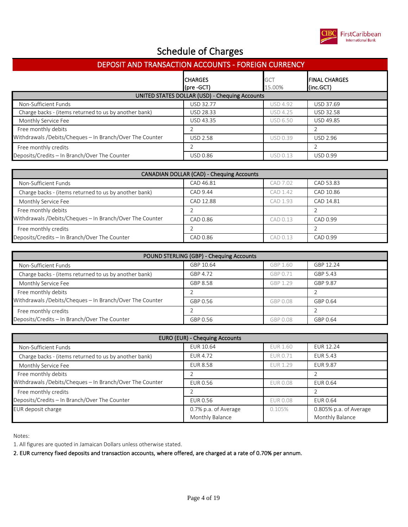

| <b>DEPOSIT AND TRANSACTION ACCOUNTS - FOREIGN CURRENCY</b> |                                |                      |                                            |  |  |
|------------------------------------------------------------|--------------------------------|----------------------|--------------------------------------------|--|--|
|                                                            | <b>I</b> CHARGES<br>(pre -GCT) | <b>GCT</b><br>15.00% | <b>IFINAL CHARGES</b><br>$\vert$ (inc.GCT) |  |  |
| UNITED STATES DOLLAR (USD) - Chequing Accounts             |                                |                      |                                            |  |  |
| Non-Sufficient Funds                                       | <b>USD 32.77</b>               | <b>USD 4.92</b>      | USD 37.69                                  |  |  |
| Charge backs - (items returned to us by another bank)      | USD 28.33                      | <b>USD 4.25</b>      | USD 32.58                                  |  |  |
| Monthly Service Fee                                        | USD 43.35                      | <b>USD 6.50</b>      | <b>USD 49.85</b>                           |  |  |
| Free monthly debits                                        |                                |                      |                                            |  |  |
| Withdrawals /Debits/Cheques - In Branch/Over The Counter   | <b>USD 2.58</b>                | <b>USD 0.39</b>      | <b>USD 2.96</b>                            |  |  |
| Free monthly credits                                       |                                |                      |                                            |  |  |
| Deposits/Credits - In Branch/Over The Counter              | <b>USD 0.86</b>                | <b>USD 0.13</b>      | USD 0.99                                   |  |  |

| <b>CANADIAN DOLLAR (CAD) - Chequing Accounts</b>         |           |          |           |  |
|----------------------------------------------------------|-----------|----------|-----------|--|
| Non-Sufficient Funds                                     | CAD 46.81 | CAD 7.02 | CAD 53.83 |  |
| Charge backs - (items returned to us by another bank)    | CAD 9.44  | CAD 1.42 | CAD 10.86 |  |
| Monthly Service Fee                                      | CAD 12.88 | CAD 1.93 | CAD 14.81 |  |
| Free monthly debits                                      |           |          |           |  |
| Withdrawals /Debits/Cheques - In Branch/Over The Counter | CAD 0.86  | CAD 0.13 | CAD 0.99  |  |
| Free monthly credits                                     |           |          |           |  |
| Deposits/Credits - In Branch/Over The Counter            | CAD 0.86  | CAD 0.13 | CAD 0.99  |  |

| POUND STERLING (GBP) - Chequing Accounts                 |           |          |           |  |
|----------------------------------------------------------|-----------|----------|-----------|--|
| Non-Sufficient Funds                                     | GBP 10.64 | GBP 1.60 | GBP 12.24 |  |
| Charge backs - (items returned to us by another bank)    | GBP 4.72  | GBP 0.71 | GBP 5.43  |  |
| Monthly Service Fee                                      | GBP 8.58  | GBP 1.29 | GBP 9.87  |  |
| Free monthly debits                                      |           |          |           |  |
| Withdrawals /Debits/Cheques - In Branch/Over The Counter | GBP 0.56  | GBP 0.08 | GBP 0.64  |  |
| Free monthly credits                                     |           |          |           |  |
| Deposits/Credits - In Branch/Over The Counter            | GBP 0.56  | GBP 0.08 | GBP 0.64  |  |

| EURO (EUR) - Chequing Accounts                           |                      |                 |                        |  |
|----------------------------------------------------------|----------------------|-----------------|------------------------|--|
| Non-Sufficient Funds                                     | EUR 10.64            | <b>EUR 1.60</b> | <b>EUR 12.24</b>       |  |
| Charge backs - (items returned to us by another bank)    | <b>EUR 4.72</b>      | <b>EUR 0.71</b> | <b>EUR 5.43</b>        |  |
| Monthly Service Fee                                      | <b>EUR 8.58</b>      | <b>EUR 1.29</b> | EUR 9.87               |  |
| Free monthly debits                                      |                      |                 |                        |  |
| Withdrawals /Debits/Cheques - In Branch/Over The Counter | EUR 0.56             | <b>EUR 0.08</b> | EUR 0.64               |  |
| Free monthly credits                                     |                      |                 |                        |  |
| Deposits/Credits - In Branch/Over The Counter            | EUR 0.56             | <b>EUR 0.08</b> | EUR 0.64               |  |
| EUR deposit charge                                       | 0.7% p.a. of Average | 0.105%          | 0.805% p.a. of Average |  |
|                                                          | Monthly Balance      |                 | Monthly Balance        |  |

Notes:

1. All figures are quoted in Jamaican Dollars unless otherwise stated.

2. EUR currency fixed deposits and transaction accounts, where offered, are charged at a rate of 0.70% per annum.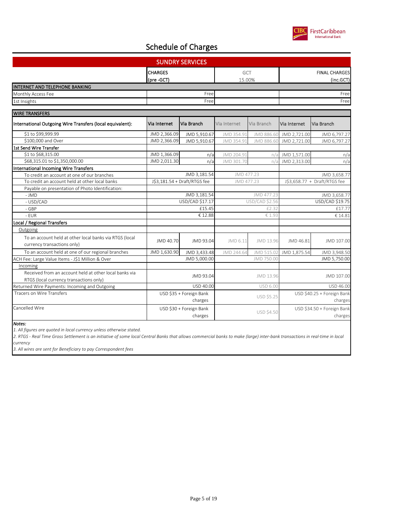

| <b>CHARGES</b><br>(pre -GCT) |               |                                                                                                                                 |                   |                                 | <b>FINAL CHARGES</b><br>(inc.GCT)     |
|------------------------------|---------------|---------------------------------------------------------------------------------------------------------------------------------|-------------------|---------------------------------|---------------------------------------|
|                              |               |                                                                                                                                 |                   |                                 |                                       |
|                              | Free          |                                                                                                                                 |                   |                                 | Free                                  |
|                              | Free          |                                                                                                                                 |                   |                                 | Free                                  |
|                              |               |                                                                                                                                 |                   |                                 |                                       |
|                              |               |                                                                                                                                 |                   |                                 |                                       |
| Via Internet                 | Via Branch    | Via Internet                                                                                                                    | Via Branch        | Via Internet                    | Via Branch                            |
| JMD 2,366.09                 | JMD 5,910.67  | JMD 354.91                                                                                                                      | JMD 886.60        | JMD 2,721.00                    | JMD 6,797.27                          |
| JMD 2,366.09                 | JMD 5,910.67  | JMD 354.91                                                                                                                      | JMD 886.60        | JMD 2,721.00                    | JMD 6,797.27                          |
|                              |               |                                                                                                                                 |                   |                                 |                                       |
| JMD 1,366.09                 | n/a           | JMD 204.91                                                                                                                      |                   | JMD 1,571.00                    | n/a                                   |
| JMD 2,011.30                 | n/a           | JMD 301.70                                                                                                                      |                   | JMD 2,313.00                    | n/a                                   |
|                              |               |                                                                                                                                 |                   |                                 |                                       |
|                              | JMD 3,181.54  | JMD 477.23                                                                                                                      |                   | JMD 3,658.77                    |                                       |
|                              |               | JMD 477.23                                                                                                                      |                   | J\$3,658.77 + Draft/RTGS fee    |                                       |
|                              |               |                                                                                                                                 |                   |                                 |                                       |
|                              | JMD 3, 181.54 |                                                                                                                                 | JMD 477.23        |                                 | JMD 3,658.77                          |
|                              |               |                                                                                                                                 |                   |                                 | USD/CAD \$19.75                       |
|                              | £15.45        |                                                                                                                                 | £2.32             |                                 | £17.77                                |
|                              | € 12.88       |                                                                                                                                 | € 1.93            |                                 | € 14.81                               |
|                              |               |                                                                                                                                 |                   |                                 |                                       |
|                              |               |                                                                                                                                 |                   |                                 |                                       |
| JMD 40.70                    | JMD 93.04     | JMD 6.11                                                                                                                        | JMD 13.96         | JMD 46.81                       | JMD 107.00                            |
| JMD 1,630.90                 | JMD 3,433.48  | JMD 244.64                                                                                                                      |                   |                                 | JMD 3,948.50                          |
|                              | JMD 5,000.00  |                                                                                                                                 | JMD 750.00        |                                 | JMD 5,750.00                          |
|                              |               |                                                                                                                                 |                   |                                 |                                       |
|                              | JMD 93.04     |                                                                                                                                 | JMD 13.96         |                                 | JMD 107.00                            |
| USD 40.00                    |               |                                                                                                                                 | <b>USD 6.00</b>   |                                 | USD 46.00                             |
|                              | charges       |                                                                                                                                 | <b>USD \$5.25</b> |                                 | USD \$40.25 + Foreign Bank<br>charges |
|                              | charges       |                                                                                                                                 | <b>USD \$4.50</b> |                                 | USD \$34.50 + Foreign Bank<br>charges |
|                              |               | <b>SUNDRY SERVICES</b><br>J\$3,181.54 + Draft/RTGS fee<br>USD/CAD \$17.17<br>USD \$35 + Foreign Bank<br>USD \$30 + Foreign Bank |                   | GCT<br>15.00%<br>USD/CAD \$2.56 | n/a<br>n/a<br>JMD 515.02 JMD 1,875.54 |

*Notes:*

*1. All figures are quoted in local currency unless otherwise stated.*

*2. RTGS - Real Time Gross Settlement is an initiative of some local Central Banks that allows commercial banks to make (large) inter-bank transactions in real-time in local currency*

*3. All wires are sent for Beneficiary to pay Correspondent fees*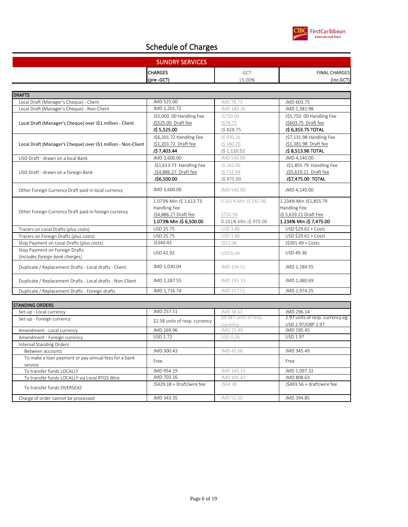

| <b>SUNDRY SERVICES</b> |            |                      |  |
|------------------------|------------|----------------------|--|
| <b>CHARGES</b>         | ---<br>uui | <b>FINAL CHARGES</b> |  |
| (pre -GCT)             | .00%       | (inc.GCT)            |  |

| <b>DRAFTS</b>                                                     |                           |                       |                          |
|-------------------------------------------------------------------|---------------------------|-----------------------|--------------------------|
| Local Draft (Manager's Cheque) - Client                           | JMD 525.00                | JMD 78.75             | JMD 603.75               |
| Local Draft (Manager's Cheque) - Non-Client                       | JMD 1,201.72              | JMD 180.26            | JMD 1,381.98             |
|                                                                   | J\$5,000. 00 Handling Fee | J\$750.00             | J\$5,750.00 Handling Fee |
| Local Draft (Manager's Cheque) over J\$1 million - Client         | J\$525.00 Draft fee       | J\$78.75              | J\$603.75 Draft fee      |
|                                                                   | J\$ 5,525.00              | J\$ 828.75            | J\$ 6,353.75 TOTAL       |
|                                                                   | J\$6,201.72 Handling Fee  | JS 930.26             | J\$7,131.98 Handling Fee |
| Local Draft (Manager's Cheque) over J\$1 million - Non-Client     | J\$1,201.72 Draft fee     | J\$180.26             | J\$1,381.98 Draft fee    |
|                                                                   | J\$ 7,403.44              | JS 1,110.52           | J\$ 8,513.96 TOTAL       |
| USD Draft - drawn on a local Bank                                 | JMD 3,600.00              | JMD 540.00            | JMD 4.140.00             |
|                                                                   | J\$1,613.73 Handling Fee  | JS 242.06             | J\$1,855.79 Handling Fee |
| USD Draft - drawn on a foreign Bank                               | J\$4,886.27 Draft fee     | J\$732.94             | J\$5,619.21 Draft fee    |
|                                                                   | JS6.500.00                | JS 975.00             | J\$7,475.00 TOTAL        |
| Other Foreign Currency Draft paid in local currency               | JMD 3,600.00              | JMD 540.00            | JMD 4,140.00             |
|                                                                   | 1.073% Min J\$ 1,613.73   | 0.161% Min J\$ 242.06 | 1.234% Min J\$1,855.79   |
|                                                                   | Handling Fee              |                       | Handling Fee             |
| Other Foreign Currency Draft paid in foreign currency             | J\$4,886.27 Draft fee     | \$732.94              | J\$ 5,619.21 Draft Fee   |
|                                                                   | 1.073% Min J\$ 6,500.00   | 0.161% Min J\$ 975.00 | 1.234% Min J\$ 7,475.00  |
| Tracers on Local Drafts (plus costs)                              | <b>USD 25.75</b>          | <b>USD 3.86</b>       | USD \$29.61 + Costs      |
| Tracers on Foreign Drafts (plus costs)                            | <b>USD 25.75</b>          | <b>USD 3.86</b>       | USD \$29.61 + Costs      |
| Stop Payment on Local Drafts (plus costs)                         | J\$340.43                 | J\$51.06              | J\$391.49 + Costs        |
| Stop Payment on Foreign Drafts<br>(includes foreign bank charges) | USD 42.92                 | <b>USD 6.44</b>       | USD 49.36                |
| Duplicate / Replacement Drafts - Local drafts - Client            | JMD 1,030.04              | JMD 154.51            | JMD 1,184.55             |
| Duplicate / Replacement Drafts - Local drafts - Non-Client        | JMD 1,287.55              | JMD 193.13            | JMD 1,480.69             |
| Duplicate / Replacement Drafts - Foreign drafts                   | JMD 1,716.74              | JMD 257.51            | JMD 1,974.25             |

| <b>STANDING ORDERS</b>                               |                                |                        |                                  |
|------------------------------------------------------|--------------------------------|------------------------|----------------------------------|
| Set-up - Local currency                              | JMD 257.51                     | JMD 38.63              | JMD 296.14                       |
| Set-up - Foreign currency                            | \$2.58 units of resp. currency | \$0.387 units of resp. | 2.97 units of resp. currency eg. |
|                                                      |                                | currency               | USD 2.97/GBP 2.97                |
| Amendment - Local currency                           | JMD 169.96                     | JMD 25.49              | JMD 195.45                       |
| Amendment - Foreign currency                         | USD 1.72                       | USD 0.26               | <b>USD 1.97</b>                  |
| Internal Standing Orders                             |                                |                        |                                  |
| Between accounts                                     | JMD 300.43                     | JMD 45.06              | JMD 345.49                       |
| To make a loan payment or pay annual fees for a bank | Free                           |                        | Free                             |
| service                                              |                                |                        |                                  |
| To transfer funds LOCALLY                            | JMD 954.19                     | JMD 143.13             | JMD 1,097.32                     |
| To transfer funds LOCALLY via Local RTGS Wire        | JMD 703.16                     | JMD 105.47             | JMD 808.63                       |
| To transfer funds OVERSEAS                           | J\$429.18 + Draft/wire fee     | J\$64.38               | $J$493.56 + draft/wire fee$      |
|                                                      |                                |                        |                                  |
| Charge of order cannot be processed                  | JMD 343.35                     | JMD 51.50              | JMD 394.85                       |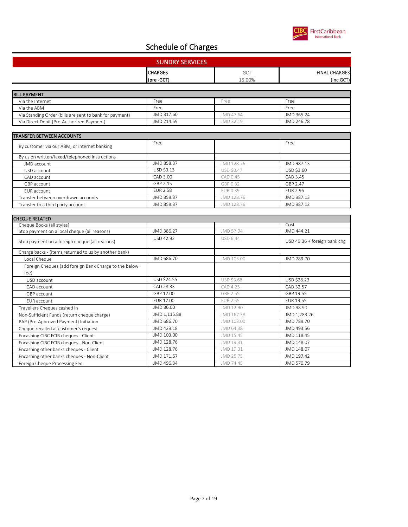

| <b>SUNDRY SERVICES</b> |                             |                      |  |
|------------------------|-----------------------------|----------------------|--|
| <b>CHARGES</b>         | $\sim$ $\sim$ $\sim$<br>uui | <b>FINAL CHARGES</b> |  |
| (pre-GCT               | '5.00%                      | (inc.GCT)            |  |

| <b>BILL PAYMENT</b>                                     |            |           |            |
|---------------------------------------------------------|------------|-----------|------------|
| Via the Internet                                        | Free       | Free      | Free       |
| Via the ABM                                             | Free       |           | Free       |
| Via Standing Order (bills are sent to bank for payment) | JMD 317.60 | JMD 47.64 | JMD 365.24 |
| Via Direct Debit (Pre-Authorized Payment)               | JMD 214.59 | JMD 32.19 | JMD 246.78 |

| <b>TRANSFER BETWEEN ACCOUNTS</b>               |                 |                   |            |
|------------------------------------------------|-----------------|-------------------|------------|
| By customer via our ABM, or internet banking   | Free            |                   | Free       |
| By us on written/faxed/telephoned instructions |                 |                   |            |
| JMD account                                    | JMD 858.37      | JMD 128.76        | JMD 987.13 |
| USD account                                    | USD \$3.13      | <b>USD \$0.47</b> | USD \$3.60 |
| CAD account                                    | CAD 3.00        | CAD 0.45          | CAD 3.45   |
| GBP account                                    | GBP 2.15        | GBP 0.32          | GBP 2.47   |
| EUR account                                    | <b>FUR 2.58</b> | FUR 0.39          | FUR 2.96   |
| Transfer between overdrawn accounts            | JMD 858.37      | JMD 128.76        | JMD 987.13 |
| Transfer to a third party account              | JMD 858.37      | JMD 128.76        | JMD 987.12 |

| <b>CHEQUE RELATED</b>                                         |              |                 |                              |
|---------------------------------------------------------------|--------------|-----------------|------------------------------|
| Cheque Books (all styles)                                     |              |                 | Cost                         |
| Stop payment on a local cheque (all reasons)                  | JMD 386.27   | JMD 57.94       | JMD 444.21                   |
| Stop payment on a foreign cheque (all reasons)                | USD 42.92    | USD 6.44        | USD 49.36 + foreign bank chg |
| Charge backs - (items returned to us by another bank)         |              |                 |                              |
| Local Cheque                                                  | JMD 686.70   | JMD 103.00      | JMD 789.70                   |
| Foreign Cheques (add foreign Bank Charge to the below<br>fee) |              |                 |                              |
| USD account                                                   | USD \$24.55  | USD \$3.68      | USD \$28.23                  |
| CAD account                                                   | CAD 28.33    | CAD 4.25        | CAD 32.57                    |
| GBP account                                                   | GBP 17.00    | GBP 2.55        | GBP 19.55                    |
| <b>EUR</b> account                                            | EUR 17.00    | <b>EUR 2.55</b> | EUR 19.55                    |
| Travellers Cheques cashed in                                  | JMD 86.00    | JMD 12.90       | JMD 98.90                    |
| Non-Sufficient Funds (return cheque charge)                   | JMD 1,115.88 | JMD 167.38      | JMD 1,283.26                 |
| PAP (Pre-Approved Payment) Initiation                         | JMD 686.70   | JMD 103.00      | JMD 789.70                   |
| Cheque recalled at customer's request                         | JMD 429.18   | JMD 64.38       | JMD 493.56                   |
| Encashing CIBC FCIB cheques - Client                          | JMD 103.00   | JMD 15.45       | JMD 118.45                   |
| Encashing CIBC FCIB cheques - Non-Client                      | JMD 128.76   | JMD 19.31       | JMD 148.07                   |
| Encashing other banks cheques - Client                        | JMD 128.76   | JMD 19.31       | JMD 148.07                   |
| Encashing other banks cheques - Non-Client                    | JMD 171.67   | JMD 25.75       | JMD 197.42                   |
| Foreign Cheque Processing Fee                                 | JMD 496.34   | JMD 74.45       | JMD 570.79                   |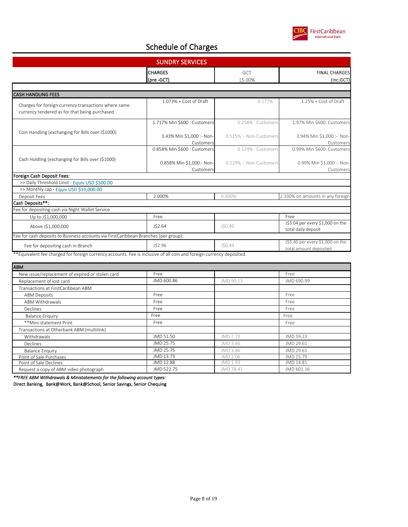

| <b>SUNDRY SERVICES</b>                                                                                |                                        |                         |                                                            |
|-------------------------------------------------------------------------------------------------------|----------------------------------------|-------------------------|------------------------------------------------------------|
|                                                                                                       | <b>CHARGES</b><br>(pre -GCT)           | GCT<br>15.00%           | <b>FINAL CHARGES</b><br>(inc.GCT)                          |
|                                                                                                       |                                        |                         |                                                            |
| <b>CASH HANDLING FEES</b>                                                                             |                                        |                         |                                                            |
| Charges for foreign currency transactions where same<br>currency tendered as for that being purchased | $1.073% + Cost of Draft$               | 0.177%                  | 1.25% + Cost of Draft                                      |
|                                                                                                       | 1.717% Min \$600 : Customers           | 0.258% : Customers      | 1.97% Min \$600: Customers                                 |
| Coin Handling (exchanging for Bills over J\$1000)                                                     | 3.43% Min \$1,000 :- Non-<br>Customers | 0.515% :- Non-Customers | 3.94% Min \$1,000 :- Non-<br>Customers                     |
|                                                                                                       | 0.858% Min \$600 : Customers           | 0.129% : Customers      | 0.99% Min \$600: Customers                                 |
| Cash Holdling (exchanging for Bills over J\$1000)                                                     | 0.858% Min \$1,000:- Non-<br>Customers | 0.129% :- Non-Customers | 0.99% Min \$1,000 :- Non-<br>Customers                     |
| Foreign Cash Deposit Fees:                                                                            |                                        |                         |                                                            |
| >> Daily Threshold Limit - Equiv USD \$500.00                                                         |                                        |                         |                                                            |
| >> Monthly cap - Equiv USD \$10,000.00                                                                |                                        |                         |                                                            |
| Deposit Fees                                                                                          | 2.000%                                 | 0.300%                  | 2.330% on amounts in any foreign                           |
| Cash Deposits**:                                                                                      |                                        |                         |                                                            |
| Fee for depositing cash via Night Wallet Service                                                      |                                        |                         |                                                            |
| Up to J\$1,000,000                                                                                    | Free                                   |                         | Free                                                       |
| Above J\$1,000,000                                                                                    | J\$2.64                                | JSO.40                  | J\$3.04 per every \$1,000 on the<br>total daily deposit    |
| Fee for cash deposits to Business accounts via FirstCaribbean Branches (per group):                   |                                        |                         |                                                            |
| Fee for depositing cash in-Branch                                                                     | J\$2.96                                | J\$0.44                 | J\$3.40 per every \$1,000 on the<br>total amount deposited |

| ABM                                             |            |           |            |
|-------------------------------------------------|------------|-----------|------------|
| New issue/replacement of expired or stolen card | Free       |           | Free       |
| Replacement of lost card                        | JMD 600.86 | JMD 90.13 | JMD 690.99 |
| Transactions at FirstCaribbean ABM              |            |           |            |
| <b>ABM Deposits</b>                             | Free       |           | Free       |
| ABM Withdrawals                                 | Free       |           | Free       |
| Declines                                        | Free       |           | Free       |
| <b>Balance Enguiry</b>                          | Free       |           | Free       |
| **Mini-statement Print                          | Free       |           | Free       |
| Transactions at Otherbank ABM (multilink)       |            |           |            |
| Withdrawals                                     | JMD 51.50  | JMD 7.73  | JMD 59.23  |
| Declines                                        | JMD 25.75  | JMD 3.86  | JMD 29.61  |
| <b>Balance Enguiry</b>                          | JMD 25.75  | JMD 3.86  | JMD 29.61  |
| Point of Sale Purchases                         | JMD 13.73  | JMD 2.06  | JMD 15.79  |
| Point of Sale Declines                          | JMD 12.88  | JMD 1.93  | JMD 14.81  |
| Request a copy of ABM video photograph          | JMD 522.75 | JMD 78.41 | JMD 601.16 |

*\*\*FREE ABM Withdrawals & Ministatements for the following account types:*

Direct Banking, Bank@Work, Bank@School, Senior Savings, Senior Chequing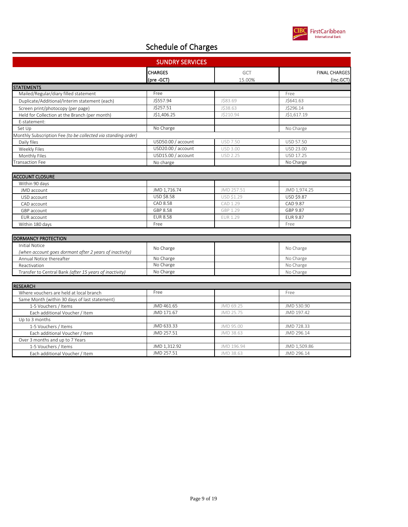

| <b>SUNDRY SERVICES</b>                                        |                    |                 |                      |
|---------------------------------------------------------------|--------------------|-----------------|----------------------|
|                                                               | <b>CHARGES</b>     | <b>GCT</b>      | <b>FINAL CHARGES</b> |
|                                                               | (pre-GCT)          | 15.00%          | (inc.GCT)            |
| <b>STATEMENTS</b>                                             |                    |                 |                      |
| Mailed/Regular/diary filled statement                         | Free               |                 | Free                 |
| Duplicate/Additional/Interim statement (each)                 | J\$557.94          | J\$83.69        | J\$641.63            |
| Screen print/photocopy (per page)                             | J\$257.51          | J\$38.63        | J\$296.14            |
| Held for Collection at the Branch (per month)                 | J\$1,406.25        | J\$210.94       | J\$1,617.19          |
| E-statement:                                                  |                    |                 |                      |
| Set Up                                                        | No Charge          |                 | No Charge            |
| Monthly Subscription Fee (to be collected via standing order) |                    |                 |                      |
| Daily files                                                   | USD50.00 / account | <b>USD 7.50</b> | USD 57.50            |
| Weekly Files                                                  | USD20.00 / account | <b>USD 3.00</b> | USD 23.00            |
| Monthly Files                                                 | USD15.00 / account | <b>USD 2.25</b> | USD 17.25            |
| <b>Transaction Fee</b>                                        | No charge          |                 | No Charge            |
|                                                               |                    |                 |                      |
| <b>ACCOUNT CLOSURE</b>                                        |                    |                 |                      |
| Within 90 days                                                |                    |                 |                      |
| JMD account                                                   | JMD 1,716.74       | JMD 257.51      | JMD 1,974.25         |
| USD account                                                   | USD \$8.58         | USD \$1.29      | USD \$9.87           |
| CAD account                                                   | CAD 8.58           | CAD 1.29        | CAD 9.87             |
| GBP account                                                   | GBP 8.58           | GBP 1.29        | GBP 9.87             |
| EUR account                                                   | <b>EUR 8.58</b>    | <b>EUR 1.29</b> | <b>EUR 9.87</b>      |
| Within 180 days                                               | Free               |                 | Free                 |
|                                                               |                    |                 |                      |
| <b>DORMANCY PROTECTION</b>                                    |                    |                 |                      |
| <b>Initial Notice</b>                                         | No Charge          |                 | No Charge            |
| (when account goes dormant after 2 years of inactivity)       |                    |                 |                      |
| Annual Notice thereafter                                      | No Charge          |                 | No Charge            |
| Reactivation                                                  | No Charge          |                 | No Charge            |
| Transfer to Central Bank (after 15 years of inactivity)       | No Charge          |                 | No Charge            |
|                                                               |                    |                 |                      |
| <b>RESEARCH</b>                                               |                    |                 |                      |
| Where vouchers are held at local branch                       | Free               |                 | Free                 |
| Same Month (within 30 days of last statement)                 |                    |                 |                      |
| 1-5 Vouchers / Items                                          | JMD 461.65         | JMD 69.25       | JMD 530.90           |
| Each additional Voucher / Item                                | JMD 171.67         | JMD 25.75       | JMD 197.42           |
| Up to 3 months                                                |                    |                 |                      |
| 1-5 Vouchers / Items                                          | JMD 633.33         | JMD 95.00       | JMD 728.33           |
| Each additional Voucher / Item                                | JMD 257.51         | JMD 38.63       | JMD 296.14           |

Over 3 months and up to 7 Years 1-5 Vouchers / Items Each additional Voucher / Item

JMD 1,312.92 JMD 196.94 JMD 1,509.86 JMD 257.51 JMD 38.63 JMD 296.14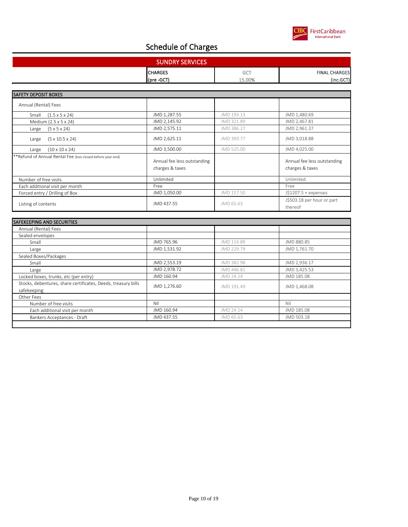

| <b>SUNDRY SERVICES</b> |                |                             |                      |
|------------------------|----------------|-----------------------------|----------------------|
|                        | <b>CHARGES</b> | $\sim$ $\sim$ $\sim$<br>UU. | <b>FINAL CHARGES</b> |
|                        | (pre -GCT)     | .00%                        | (inc.GCT)            |

| <b>SAFETY DEPOSIT BOXES</b>                                |                                                |            |                                                |
|------------------------------------------------------------|------------------------------------------------|------------|------------------------------------------------|
| Annual (Rental) Fees                                       |                                                |            |                                                |
| $(1.5 \times 5 \times 24)$<br>Small                        | JMD 1,287.55                                   | JMD 193.13 | JMD 1,480.69                                   |
| Medium (2.5 x 5 x 24)                                      | JMD 2,145.92                                   | JMD 321.89 | JMD 2,467.81                                   |
| $(5 \times 5 \times 24)$<br>Large                          | JMD 2,575.11                                   | JMD 386.27 | JMD 2,961.37                                   |
| $(5 \times 10.5 \times 24)$<br>Large                       | JMD 2,625.11                                   | JMD 393.77 | JMD 3,018.88                                   |
| $(10 \times 10 \times 24)$<br>Large                        | JMD 3,500.00                                   | JMD 525.00 | JMD 4,025.00                                   |
| **Refund of Annual Rental Fee (box closed before year end) | Annual fee less outstanding<br>charges & taxes |            | Annual fee less outstanding<br>charges & taxes |
| Number of free visits                                      | Unlimited                                      |            | Unlimited                                      |
| Each additional visit per month                            | Free                                           |            | Free                                           |
| Forced entry / Drilling of Box                             | JMD 1,050.00                                   | JMD 157.50 | $J$1207.5 + expenses$                          |
| Listing of contents                                        | JMD 437.55                                     | JMD 65.63  | J\$503.18 per hour or part<br>thereof          |

| <b>SAFEKEEPING AND SECURITIES</b>                             |              |            |              |
|---------------------------------------------------------------|--------------|------------|--------------|
| Annual (Rental) Fees                                          |              |            |              |
| Sealed envelopes                                              |              |            |              |
| Small                                                         | JMD 765.96   | JMD 114.89 | JMD 880.85   |
| Large                                                         | JMD 1,531.92 | JMD 229.79 | JMD 1,761.70 |
| Sealed Boxes/Packages                                         |              |            |              |
| Small                                                         | JMD 2,553.19 | JMD 382.98 | JMD 2,936.17 |
| Large                                                         | JMD 2,978.72 | JMD 446.81 | JMD 3,425.53 |
| Locked boxes, trunks, etc (per entry)                         | JMD 160.94   | JMD 24.14  | JMD 185.08   |
| Stocks, debentures, share certificates, Deeds, treasury bills | JMD 1,276.60 | JMD 191.49 | JMD 1,468.08 |
| safekeeping                                                   |              |            |              |
| Other Fees                                                    |              |            |              |
| Number of free visits                                         | Nil          |            | Nil          |
| Each additional visit per month                               | JMD 160.94   | JMD 24.14  | JMD 185.08   |
| Bankers Acceptances - Draft                                   | JMD 437.55   | JMD 65.63  | JMD 503.18   |
|                                                               |              |            |              |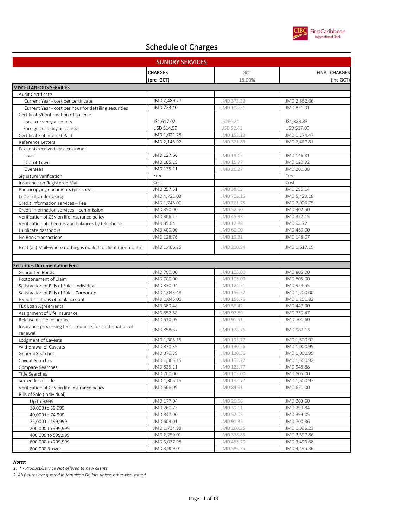

| <b>SUNDRY SERVICES</b>                                              |                         |                        |                         |
|---------------------------------------------------------------------|-------------------------|------------------------|-------------------------|
|                                                                     | <b>CHARGES</b>          | <b>GCT</b>             | <b>FINAL CHARGES</b>    |
|                                                                     | (pre-GCT)               | 15.00%                 | (inc.GCT)               |
| <b>MISCELLANEOUS SERVICES</b>                                       |                         |                        |                         |
| Audit Certificate                                                   |                         |                        |                         |
| Current Year - cost per certificate                                 | JMD 2,489.27            | JMD 373.39             | JMD 2,862.66            |
| Current Year - cost per hour for detailing securities               | JMD 723.40              | JMD 108.51             | JMD 831.91              |
| Certificate/Confirmation of balance                                 |                         |                        |                         |
| Local currency accounts                                             | J\$1,617.02             | J\$266.81              | J\$1,883.83             |
| Foreign currency accounts                                           | USD \$14.59             | USD \$2.41             | USD \$17.00             |
| Certificate of interest Paid                                        | JMD 1,021.28            | JMD 153.19             | JMD 1,174.47            |
| Reference Letters                                                   | JMD 2,145.92            | JMD 321.89             | JMD 2,467.81            |
| Fax sent/received for a customer                                    |                         |                        |                         |
| Local                                                               | JMD 127.66              | JMD 19.15              | JMD 146.81              |
| Out of Town                                                         | JMD 105.15              | JMD 15.77              | JMD 120.92              |
| Overseas                                                            | JMD 175.11              | JMD 26.27              | JMD 201.38              |
| Signature verification                                              | Free                    |                        | Free                    |
| Insurance on Registered Mail                                        | Cost                    |                        | Cost                    |
| Photocopying documents (per sheet)                                  | JMD 257.51              | JMD 38.63              | JMD 296.14              |
| Letter of Undertaking                                               | JMD 4,721.03            | JMD 708.15             | JMD 5,429.18            |
| Credit information services - Fee                                   | JMD 1,745.00            | JMD 261.75             | JMD 2,006.75            |
| Credit information services - commission                            | JMD 350.00              | JMD 52.50              | JMD 402.50              |
| Verification of CSV on life insurance policy                        | JMD 306.22<br>JMD 85.84 | JMD 45.93<br>JMD 12.88 | JMD 352.15<br>JMD 98.72 |
| Verification of cheques and balances by telephone                   | JMD 400.00              | JMD 60.00              | JMD 460.00              |
| Duplicate passbooks<br>No Book transactions                         | JMD 128.76              | JMD 19.31              | JMD 148.07              |
|                                                                     |                         |                        |                         |
| Hold (all) Mail-where nothing is mailed to client (per month)       | JMD 1,406.25            | JMD 210.94             | JMD 1,617.19            |
|                                                                     |                         |                        |                         |
| <b>Securities Documentation Fees</b>                                |                         |                        |                         |
| Guarantee Bonds                                                     | JMD 700.00              | JMD 105.00             | JMD 805.00              |
| Postponement of Claim                                               | JMD 700.00              | JMD 105.00             | JMD 805.00              |
| Satisfaction of Bills of Sale - Individual                          | JMD 830.04              | JMD 124.51             | JMD 954.55              |
| Satisfaction of Bills of Sale - Corporate                           | JMD 1,043.48            | JMD 156.52             | JMD 1,200.00            |
| Hypothecations of bank account                                      | JMD 1,045.06            | JMD 156.76             | JMD 1,201.82            |
| FEX Loan Agreements                                                 | JMD 389.48              | JMD 58.42              | JMD 447.90              |
| Assignment of Life Insurance                                        | JMD 652.58              | JMD 97.89              | JMD 750.47              |
| Release of Life Insurance                                           | JMD 610.09              | JMD 91.51              | JMD 701.60              |
| Insurance processing fees - requests for confirmation of<br>renewal | JMD 858.37              | JMD 128.76             | JMD 987.13              |
| Lodgment of Caveats                                                 | JMD 1,305.15            | JMD 195.77             | JMD 1,500.92            |
| Withdrawal of Caveats                                               | JMD 870.39              | JMD 130.56             | JMD 1,000.95            |
| General Searches                                                    | JMD 870.39              | JMD 130.56             | JMD 1,000.95            |
| Caveat Searches                                                     | JMD 1,305.15            | JMD 195.77             | JMD 1,500.92            |
| Company Searches                                                    | JMD 825.11              | JMD 123.77             | JMD 948.88              |
| Title Searches                                                      | JMD 700.00              | JMD 105.00             | JMD 805.00              |
| Surrender of Title                                                  | JMD 1,305.15            | JMD 195.77             | JMD 1,500.92            |
| Verification of CSV on life insurance policy                        | JMD 566.09              | JMD 84.91              | JMD 651.00              |
| Bills of Sale (Individual)                                          |                         |                        |                         |
| Up to 9,999                                                         | JMD 177.04              | JMD 26.56              | JMD 203.60              |
| 10,000 to 39,999                                                    | JMD 260.73              | JMD 39.11              | JMD 299.84              |
| 40,000 to 74,999                                                    | JMD 347.00              | JMD 52.05              | JMD 399.05              |
| 75,000 to 199,999                                                   | JMD 609.01              | JMD 91.35              | JMD 700.36              |
| 200,000 to 399,999                                                  | JMD 1,734.98            | JMD 260.25             | JMD 1,995.23            |
| 400,000 to 599,999                                                  | JMD 2,259.01            | JMD 338.85             | JMD 2,597.86            |
| 600,000 to 799,999                                                  | JMD 3,037.98            | JMD 455.70             | JMD 3,493.68            |
| 800,000 & over                                                      | JMD 3,909.01            | JMD 586.35             | JMD 4,495.36            |

#### *Notes:*

*1. \* - Product/Service Not offered to new clients*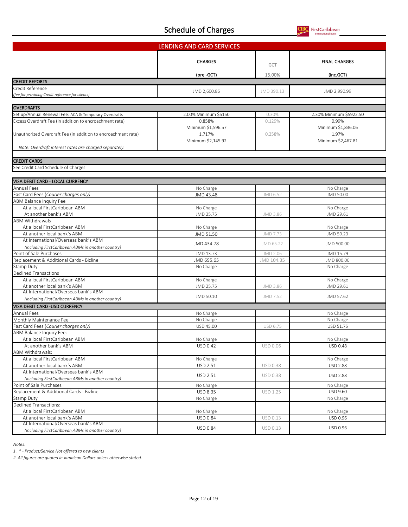FirstCaribbean<br>International Bank CII

|                                                                                                                  | LENDING AND CARD SERVICES |                 |                         |
|------------------------------------------------------------------------------------------------------------------|---------------------------|-----------------|-------------------------|
|                                                                                                                  |                           |                 |                         |
|                                                                                                                  | <b>CHARGES</b>            | <b>GCT</b>      | <b>FINAL CHARGES</b>    |
|                                                                                                                  |                           |                 |                         |
|                                                                                                                  | (pre -GCT)                | 15.00%          | (inc.GCT)               |
| <b>CREDIT REPORTS</b>                                                                                            |                           |                 |                         |
| Credit Reference                                                                                                 | JMD 2,600.86              | JMD 390.13      | JMD 2,990.99            |
| (fee for providing Credit reference for clients)                                                                 |                           |                 |                         |
| <b>OVERDRAFTS</b>                                                                                                |                           |                 |                         |
|                                                                                                                  | 2.00% Minimum \$5150      | 0.30%           | 2.30% Minimum \$5922.50 |
| Set up/Annual Renewal Fee: ACA & Temporary Overdrafts<br>Excess Overdraft Fee (in addition to encroachment rate) | 0.858%                    | 0.129%          | 0.99%                   |
|                                                                                                                  | Minimum \$1,596.57        |                 | Minimum \$1,836.06      |
| Unauthorized Overdraft Fee (in addition to encroachment rate)                                                    | 1.717%                    | 0.258%          | 1.97%                   |
|                                                                                                                  | Minimum \$2,145.92        |                 | Minimum \$2,467.81      |
| Note: Overdraft interest rates are charged separately.                                                           |                           |                 |                         |
|                                                                                                                  |                           |                 |                         |
| <b>CREDIT CARDS</b>                                                                                              |                           |                 |                         |
| See Credit Card Schedule of Charges                                                                              |                           |                 |                         |
|                                                                                                                  |                           |                 |                         |
| VISA DEBIT CARD - LOCAL CURRENCY                                                                                 |                           |                 |                         |
| Annual Fees                                                                                                      | No Charge                 |                 | No Charge               |
| Fast Card Fees (Courier charges only)                                                                            | JMD 43.48                 | JMD 6.52        | JMD 50.00               |
| <b>ABM Balance Inquiry Fee</b>                                                                                   |                           |                 |                         |
| At a local FirstCaribbean ABM                                                                                    | No Charge                 |                 | No Charge               |
| At another bank's ABM                                                                                            | JMD 25.75                 | JMD 3.86        | JMD 29.61               |
| <b>ABM Withdrawals</b>                                                                                           |                           |                 |                         |
| At a local FirstCaribbean ABM                                                                                    | No Charge                 |                 | No Charge               |
| At another local bank's ABM                                                                                      | JMD 51.50                 | JMD 7.73        | JMD 59.23               |
| At International/Overseas bank's ABM                                                                             |                           |                 |                         |
| (Including FirstCaribbean ABMs in another country)                                                               | JMD 434.78                | JMD 65.22       | JMD 500.00              |
| Point of Sale Purchases                                                                                          | JMD 13.73                 | JMD 2.06        | JMD 15.79               |
| Replacement & Additional Cards - Bizline                                                                         | JMD 695.65                | JMD 104.35      | JMD 800.00              |
| Stamp Duty                                                                                                       | No Charge                 |                 | No Charge               |
| Declined Transactions                                                                                            |                           |                 |                         |
| At a local FirstCaribbean ABM                                                                                    | No Charge                 |                 | No Charge               |
| At another local bank's ABM                                                                                      | JMD 25.75                 | JMD 3.86        | JMD 29.61               |
| At International/Overseas bank's ABM                                                                             | JMD 50.10                 | JMD 7.52        | JMD 57.62               |
| (Including FirstCaribbean ABMs in another country)                                                               |                           |                 |                         |
| VISA DEBIT CARD -USD CURRENCY                                                                                    |                           |                 |                         |
| Annual Fees                                                                                                      | No Charge                 |                 | No Charge               |
| Monthly Maintenance Fee                                                                                          | No Charge                 |                 | No Charge               |
| Fast Card Fees (Courier charges only)                                                                            | USD 45.00                 | USD 6.75        | USD 51.75               |
| ABM Balance Inquiry Fee:                                                                                         |                           |                 |                         |
| At a local FirstCaribbean ABM                                                                                    | No Charge                 |                 | No Charge               |
| At another bank's ABM                                                                                            | USD 0.42                  | USD 0.06        | <b>USD 0.48</b>         |
| ABM Withdrawals:                                                                                                 |                           |                 |                         |
| At a local FirstCaribbean ABM                                                                                    | No Charge                 |                 | No Charge               |
| At another local bank's ABM                                                                                      | USD 2.51                  | <b>USD 0.38</b> | <b>USD 2.88</b>         |
| At International/Overseas bank's ABM                                                                             | USD 2.51                  | USD 0.38        | <b>USD 2.88</b>         |
| (Including FirstCaribbean ABMs in another country)                                                               |                           |                 |                         |
| Point of Sale Purchases                                                                                          | No Charge                 |                 | No Charge               |
| Replacement & Additional Cards - Bizline                                                                         | USD 8.35                  | <b>USD 1.25</b> | USD 9.60                |
| Stamp Duty                                                                                                       | No Charge                 |                 | No Charge               |
| Declined Transactions:                                                                                           |                           |                 |                         |
| At a local FirstCaribbean ABM                                                                                    | No Charge                 |                 | No Charge               |
| At another local bank's ABM<br>At International/Overseas bank's ABM                                              | USD 0.84                  | USD 0.13        | USD 0.96                |
| (Including FirstCaribbean ABMs in another country)                                                               | USD 0.84                  | USD 0.13        | USD 0.96                |
|                                                                                                                  |                           |                 |                         |

*Notes:*

*1. \* - Product/Service Not offered to new clients*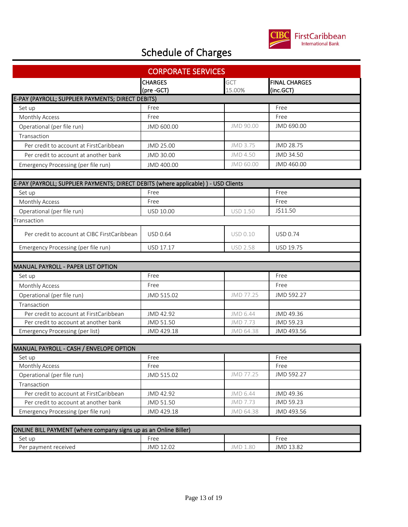

| <b>CORPORATE SERVICES</b>                                                          |                              |                      |                                   |  |
|------------------------------------------------------------------------------------|------------------------------|----------------------|-----------------------------------|--|
|                                                                                    | <b>CHARGES</b><br>(pre -GCT) | <b>GCT</b><br>15.00% | <b>FINAL CHARGES</b><br>(inc.GCT) |  |
| E-PAY (PAYROLL; SUPPLIER PAYMENTS; DIRECT DEBITS)                                  |                              |                      |                                   |  |
| Set up                                                                             | Free                         |                      | Free                              |  |
| Monthly Access                                                                     | Free                         |                      | Free                              |  |
| Operational (per file run)                                                         | JMD 600.00                   | JMD 90.00            | JMD 690.00                        |  |
| Transaction                                                                        |                              |                      |                                   |  |
| Per credit to account at FirstCaribbean                                            | JMD 25.00                    | JMD 3.75             | JMD 28.75                         |  |
| Per credit to account at another bank                                              | JMD 30.00                    | JMD 4.50             | JMD 34.50                         |  |
| Emergency Processing (per file run)                                                | JMD 400.00                   | JMD 60.00            | JMD 460.00                        |  |
|                                                                                    |                              |                      |                                   |  |
| E-PAY (PAYROLL; SUPPLIER PAYMENTS; DIRECT DEBITS (where applicable)) - USD Clients |                              |                      |                                   |  |
| Set up                                                                             | Free                         |                      | Free                              |  |
| Monthly Access                                                                     | Free                         |                      | Free                              |  |
| Operational (per file run)                                                         | <b>USD 10.00</b>             | <b>USD 1.50</b>      | J\$11.50                          |  |
| Transaction                                                                        |                              |                      |                                   |  |
| Per credit to account at CIBC FirstCaribbean                                       | <b>USD 0.64</b>              | <b>USD 0.10</b>      | <b>USD 0.74</b>                   |  |
| Emergency Processing (per file run)                                                | USD 17.17                    | <b>USD 2.58</b>      | USD 19.75                         |  |
|                                                                                    |                              |                      |                                   |  |
| <b>MANUAL PAYROLL - PAPER LIST OPTION</b>                                          |                              |                      |                                   |  |
| Set up                                                                             | Free                         |                      | Free                              |  |
| Monthly Access                                                                     | Free                         |                      | Free                              |  |
| Operational (per file run)                                                         | JMD 515.02                   | JMD 77.25            | JMD 592.27                        |  |
| Transaction                                                                        |                              |                      |                                   |  |
| Per credit to account at FirstCaribbean                                            | JMD 42.92                    | JMD 6.44             | JMD 49.36                         |  |
| Per credit to account at another bank                                              | JMD 51.50                    | JMD 7.73             | JMD 59.23                         |  |
| Emergency Processing (per list)                                                    | JMD 429.18                   | JMD 64.38            | JMD 493.56                        |  |
|                                                                                    |                              |                      |                                   |  |
| MANUAL PAYROLL - CASH / ENVELOPE OPTION                                            |                              |                      |                                   |  |
| Set up                                                                             | Free                         |                      | Free<br>Free                      |  |
| Monthly Access<br>Operational (per file run)                                       | Free<br>JMD 515.02           | JMD 77.25            | JMD 592.27                        |  |
|                                                                                    |                              |                      |                                   |  |
| Transaction                                                                        |                              |                      | JMD 49.36                         |  |
| Per credit to account at FirstCaribbean                                            | JMD 42.92                    | JMD 6.44<br>JMD 7.73 | JMD 59.23                         |  |
| Per credit to account at another bank                                              | JMD 51.50                    |                      |                                   |  |
| Emergency Processing (per file run)                                                | JMD 429.18                   | JMD 64.38            | JMD 493.56                        |  |

| ONLINE BILL PAYMENT (where company signs up as an Online Biller) |           |               |           |  |
|------------------------------------------------------------------|-----------|---------------|-----------|--|
| Set up                                                           | Free      |               | Free      |  |
| Per payment received                                             | JMD 12.02 | IMD 1<br>1.80 | JMD 13.82 |  |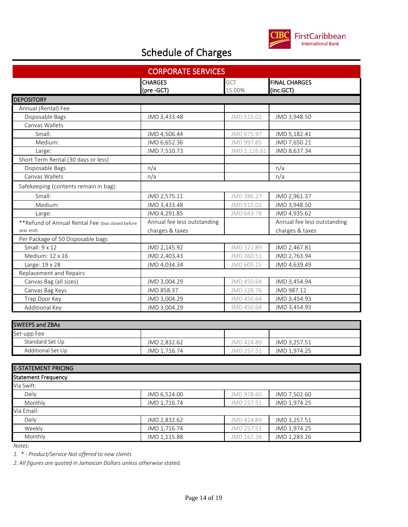

| <b>CORPORATE SERVICES</b>                         |                             |              |                             |  |
|---------------------------------------------------|-----------------------------|--------------|-----------------------------|--|
|                                                   | <b>CHARGES</b>              | GCT          | <b>FINAL CHARGES</b>        |  |
|                                                   | (pre -GCT)                  | 15.00%       | (inc.GCT)                   |  |
| <b>DEPOSITORY</b>                                 |                             |              |                             |  |
| Annual (Rental) Fee                               |                             |              |                             |  |
| Disposable Bags                                   | JMD 3,433.48                | JMD 515.02   | JMD 3,948.50                |  |
| Canvas Wallets                                    |                             |              |                             |  |
| Small:                                            | JMD 4,506.44                | JMD 675.97   | JMD 5,182.41                |  |
| Medium:                                           | JMD 6,652.36                | JMD 997.85   | JMD 7,650.21                |  |
| Large:                                            | JMD 7,510.73                | JMD 1,126.61 | JMD 8,637.34                |  |
| Short Term Rental (30 days or less)               |                             |              |                             |  |
| Disposable Bags                                   | n/a                         |              | n/a                         |  |
| Canvas Wallets                                    | n/a                         |              | n/a                         |  |
| Safekeeping (contents remain in bag):             |                             |              |                             |  |
| Small:                                            | JMD 2,575.11                | JMD 386.27   | JMD 2,961.37                |  |
| Medium:                                           | JMD 3,433.48                | JMD 515.02   | JMD 3,948.50                |  |
| Large:                                            | JMD 4,291.85                | JMD 643.78   | JMD 4,935.62                |  |
| ** Refund of Annual Rental Fee (box closed before | Annual fee less outstanding |              | Annual fee less outstanding |  |
| year end)                                         | charges & taxes             |              | charges & taxes             |  |
| Per Package of 50 Disposable bags                 |                             |              |                             |  |
| Small: 9 x 12                                     | JMD 2,145.92                | JMD 321.89   | JMD 2,467.81                |  |
| Medium: 12 x 16                                   | JMD 2,403.43                | JMD 360.51   | JMD 2,763.94                |  |
| Large: 19 x 28                                    | JMD 4,034.34                | JMD 605.15   | JMD 4,639.49                |  |
| Replacement and Repairs                           |                             |              |                             |  |
| Canvas Bag (all sizes)                            | JMD 3,004.29                | JMD 450.64   | JMD 3,454.94                |  |
| Canvas Bag Keys                                   | JMD 858.37                  | JMD 128.76   | JMD 987.12                  |  |
| Trap Door Key                                     | JMD 3,004.29                | JMD 450.64   | JMD 3,454.93                |  |
| Additional Key                                    | JMD 3,004.29                | JMD 450.64   | JMD 3,454.93                |  |
|                                                   |                             |              |                             |  |
| <b>SWEEPS and ZBAs</b>                            |                             |              |                             |  |
| Set-upp Fee                                       |                             |              |                             |  |
| Standard Set Up                                   | JMD 2,832.62                | JMD 424.89   | JMD 3,257.51                |  |
| Additional Set Up                                 | JMD 1,716.74                | JMD 257.51   | JMD 1,974.25                |  |
|                                                   |                             |              |                             |  |
| <b>E-STATEMENT PRICING</b>                        |                             |              |                             |  |
| <b>Statement Frequency</b>                        |                             |              |                             |  |
| Via Swift:                                        |                             |              |                             |  |
| Daily                                             | JMD 6,524.00                | JMD 978.60   | JMD 7,502.60                |  |
| Monthly                                           | JMD 1,716.74                | JMD 257.51   | JMD 1,974.25                |  |
| Via Email:                                        |                             |              |                             |  |
| Daily                                             | JMD 2,832.62                | JMD 424.89   | JMD 3,257.51                |  |
| Weekly                                            | JMD 1,716.74                | JMD 257.51   | JMD 1,974.25                |  |
| Monthly                                           | JMD 1,115.88                | JMD 167.38   | JMD 1,283.26                |  |

*Notes:*

*1. \* - Product/Service Not offered to new clients*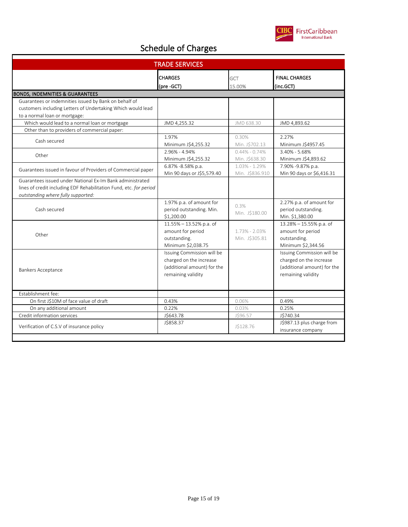

| <b>TRADE SERVICES</b>                                                                                                                                                 |                                                                                                            |                                 |                                                                                                            |
|-----------------------------------------------------------------------------------------------------------------------------------------------------------------------|------------------------------------------------------------------------------------------------------------|---------------------------------|------------------------------------------------------------------------------------------------------------|
|                                                                                                                                                                       | <b>CHARGES</b>                                                                                             | <b>GCT</b>                      | <b>FINAL CHARGES</b>                                                                                       |
|                                                                                                                                                                       | (pre-GCT)                                                                                                  | 15.00%                          | (inc.GCT)                                                                                                  |
| <b>BONDS, INDEMNITIES &amp; GUARANTEES</b><br>Guarantees or indemnities issued by Bank on behalf of                                                                   |                                                                                                            |                                 |                                                                                                            |
| customers including Letters of Undertaking Which would lead                                                                                                           |                                                                                                            |                                 |                                                                                                            |
| to a normal loan or mortgage:                                                                                                                                         |                                                                                                            |                                 |                                                                                                            |
| Which would lead to a normal loan or mortgage                                                                                                                         | JMD 4,255.32                                                                                               | JMD 638.30                      | JMD 4,893.62                                                                                               |
| Other than to providers of commercial paper:                                                                                                                          |                                                                                                            |                                 |                                                                                                            |
|                                                                                                                                                                       | 1.97%                                                                                                      | 0.30%                           | 2.27%                                                                                                      |
| Cash secured                                                                                                                                                          | Minimum J\$4,255.32                                                                                        | Min. J\$702.13                  | Minimum J\$4957.45                                                                                         |
|                                                                                                                                                                       | 2.96% - 4.94%                                                                                              | $0.44\% - 0.74\%$               | 3.40% - 5.68%                                                                                              |
| Other                                                                                                                                                                 | Minimum J\$4,255.32                                                                                        | Min. J\$638.30                  | Minimum J\$4,893.62                                                                                        |
|                                                                                                                                                                       | 6.87% -8.58% p.a.                                                                                          | $1.03\% - 1.29\%$               | 7.90% -9.87% p.a.                                                                                          |
| Guarantees issued in favour of Providers of Commercial paper                                                                                                          | Min 90 days or J\$5,579.40                                                                                 | Min. J\$836.910                 | Min 90 days or \$6,416.31                                                                                  |
| Guarantees issued under National Ex-Im Bank administrated<br>lines of credit including EDF Rehabilitation Fund, etc. for period<br>outstanding where fully supported: |                                                                                                            |                                 |                                                                                                            |
| Cash secured                                                                                                                                                          | 1.97% p.a. of amount for<br>period outstanding. Min.<br>\$1,200.00                                         | 0.3%<br>Min. J\$180.00          | 2.27% p.a. of amount for<br>period outstanding.<br>Min. \$1,380.00                                         |
| Other                                                                                                                                                                 | 11.55% - 13.52% p.a. of<br>amount for period<br>outstanding.<br>Minimum \$2,038.75                         | 1.73% - 2.03%<br>Min. J\$305.81 | 13.28% - 15.55% p.a. of<br>amount for period<br>outstanding.<br>Minimum \$2,344.56                         |
| <b>Bankers Acceptance</b>                                                                                                                                             | Issuing Commission will be<br>charged on the increase<br>(additional amount) for the<br>remaining validity |                                 | Issuing Commission will be<br>charged on the increase<br>(additional amount) for the<br>remaining validity |
| Establishment fee:                                                                                                                                                    |                                                                                                            |                                 |                                                                                                            |
| On first J\$10M of face value of draft                                                                                                                                | 0.43%                                                                                                      | 0.06%                           | 0.49%                                                                                                      |
| On any additional amount                                                                                                                                              | 0.22%                                                                                                      | 0.03%                           | 0.25%                                                                                                      |
| Credit information services                                                                                                                                           | J\$643.78                                                                                                  | J\$96.57                        | J\$740.34                                                                                                  |
| Verification of C.S.V of insurance policy                                                                                                                             | J\$858.37                                                                                                  | J\$128.76                       | J\$987.13 plus charge from<br>insurance company                                                            |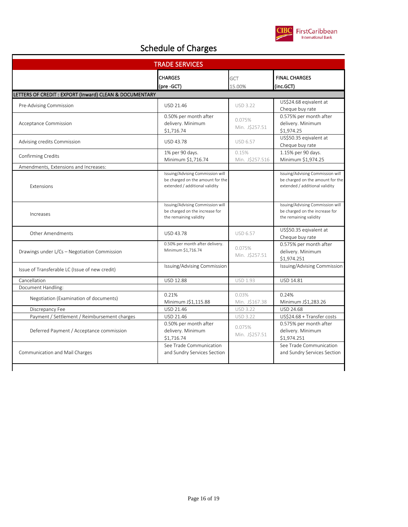

| <b>TRADE SERVICES</b>                                   |                                                                                                        |                          |                                                                                                        |
|---------------------------------------------------------|--------------------------------------------------------------------------------------------------------|--------------------------|--------------------------------------------------------------------------------------------------------|
|                                                         | <b>CHARGES</b><br>(pre -GCT)                                                                           | GCT<br>15.00%            | <b>FINAL CHARGES</b><br>(inc.GCT)                                                                      |
| LETTERS OF CREDIT : EXPORT (Inward) CLEAN & DOCUMENTARY |                                                                                                        |                          |                                                                                                        |
|                                                         | USD 21.46                                                                                              | <b>USD 3.22</b>          | US\$24.68 eqivalent at                                                                                 |
| Pre-Advising Commission                                 |                                                                                                        |                          | Cheque buy rate                                                                                        |
| Acceptance Commission                                   | 0.50% per month after<br>delivery. Minimum<br>\$1,716.74                                               | 0.075%<br>Min. J\$257.51 | 0.575% per month after<br>delivery. Minimum<br>\$1,974.25                                              |
| Advising credits Commission                             | USD 43.78                                                                                              | <b>USD 6.57</b>          | US\$50.35 eqivalent at<br>Cheque buy rate                                                              |
| Confirming Credits                                      | 1% per 90 days.                                                                                        | 0.15%                    | 1.15% per 90 days.                                                                                     |
|                                                         | Minimum \$1,716.74                                                                                     | Min. J\$257.516          | Minimum \$1,974.25                                                                                     |
| Amendments, Extensions and Increases:                   |                                                                                                        |                          |                                                                                                        |
| <b>Fxtensions</b>                                       | Issuing/Advising Commission will<br>be charged on the amount for the<br>extended / additional validity |                          | Issuing/Advising Commission will<br>be charged on the amount for the<br>extended / additional validity |
| Increases                                               | Issuing/Advising Commission will<br>be charged on the increase for<br>the remaining validity           |                          | Issuing/Advising Commission will<br>be charged on the increase for<br>the remaining validity           |
| <b>Other Amendments</b>                                 | <b>USD 43.78</b>                                                                                       | <b>USD 6.57</b>          | US\$50.35 eqivalent at<br>Cheque buy rate                                                              |
| Drawings under L/Cs - Negotiation Commission            | 0.50% per month after delivery.<br>Minimum \$1,716.74                                                  | 0.075%<br>Min. J\$257.51 | 0.575% per month after<br>delivery. Minimum<br>\$1,974.251                                             |
| Issue of Transferable LC (Issue of new credit)          | Issuing/Advising Commission                                                                            |                          | Issuing/Advising Commission                                                                            |
| Cancellation                                            | USD 12.88                                                                                              | <b>USD 1.93</b>          | USD 14.81                                                                                              |
| Document Handling:                                      |                                                                                                        |                          |                                                                                                        |
| Negotiation (Examination of documents)                  | 0.21%                                                                                                  | 0.03%                    | 0.24%                                                                                                  |
|                                                         | Minimum J\$1,115.88                                                                                    | Min. J\$167.38           | Minimum J\$1,283.26                                                                                    |
| Discrepancy Fee                                         | USD 21.46                                                                                              | <b>USD 3.22</b>          | <b>USD 24.68</b>                                                                                       |
| Payment / Settlement / Reimbursement charges            | USD 21.46                                                                                              | <b>USD 3.22</b>          | US\$24.68 + Transfer costs                                                                             |
| Deferred Payment / Acceptance commission                | 0.50% per month after<br>delivery. Minimum<br>\$1,716.74                                               | 0.075%<br>Min. J\$257.51 | 0.575% per month after<br>delivery. Minimum<br>\$1,974.251                                             |
| Communication and Mail Charges                          | See Trade Communication<br>and Sundry Services Section                                                 |                          | See Trade Communication<br>and Sundry Services Section                                                 |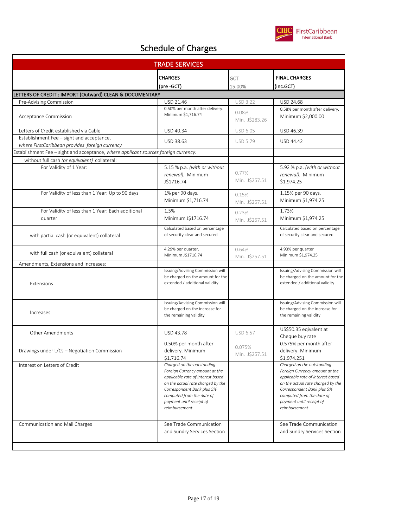

| <b>TRADE SERVICES</b>                                                               |                                                                                                                                                                                                                                                |                          |                                                                                                                                                                                                                                                |  |
|-------------------------------------------------------------------------------------|------------------------------------------------------------------------------------------------------------------------------------------------------------------------------------------------------------------------------------------------|--------------------------|------------------------------------------------------------------------------------------------------------------------------------------------------------------------------------------------------------------------------------------------|--|
|                                                                                     | <b>CHARGES</b><br>(pre -GCT)                                                                                                                                                                                                                   | GCT<br>15.00%            | <b>FINAL CHARGES</b><br>(inc.GCT)                                                                                                                                                                                                              |  |
| LETTERS OF CREDIT : IMPORT (Outward) CLEAN & DOCUMENTARY                            |                                                                                                                                                                                                                                                |                          |                                                                                                                                                                                                                                                |  |
| Pre-Advising Commission                                                             | USD 21.46                                                                                                                                                                                                                                      | <b>USD 3.22</b>          | USD 24.68                                                                                                                                                                                                                                      |  |
| Acceptance Commission                                                               | 0.50% per month after delivery.<br>Minimum \$1,716.74                                                                                                                                                                                          | 0.08%<br>Min. J\$283.26  | 0.58% per month after delivery.<br>Minimum \$2,000.00                                                                                                                                                                                          |  |
| Letters of Credit established via Cable                                             | USD 40.34                                                                                                                                                                                                                                      | USD 6.05                 | USD 46.39                                                                                                                                                                                                                                      |  |
| Establishment Fee - sight and acceptance,                                           | USD 38.63                                                                                                                                                                                                                                      | <b>USD 5.79</b>          | USD 44.42                                                                                                                                                                                                                                      |  |
| where FirstCaribbean provides foreign currency                                      |                                                                                                                                                                                                                                                |                          |                                                                                                                                                                                                                                                |  |
| Establishment Fee - sight and acceptance, where applicant sources foreign currency: |                                                                                                                                                                                                                                                |                          |                                                                                                                                                                                                                                                |  |
| without full cash (or equivalent) collateral:                                       |                                                                                                                                                                                                                                                |                          |                                                                                                                                                                                                                                                |  |
| For Validity of 1 Year:                                                             | 5.15 % p.a. (with or without<br>renewal). Minimum<br>J\$1716.74                                                                                                                                                                                | 0.77%<br>Min. J\$257.51  | 5.92 % p.a. (with or without<br>renewal). Minimum<br>\$1,974.25                                                                                                                                                                                |  |
| For Validity of less than 1 Year: Up to 90 days                                     | 1% per 90 days.<br>Minimum \$1,716.74                                                                                                                                                                                                          | 0.15%<br>Min. J\$257.51  | 1.15% per 90 days.<br>Minimum \$1,974.25                                                                                                                                                                                                       |  |
| For Validity of less than 1 Year: Each additional<br>quarter                        | 1.5%<br>Minimum J\$1716.74                                                                                                                                                                                                                     | 0.23%<br>Min. J\$257.51  | 1.73%<br>Minimum \$1,974.25                                                                                                                                                                                                                    |  |
| with partial cash (or equivalent) collateral                                        | Calculated based on percentage<br>of security clear and secured                                                                                                                                                                                |                          | Calculated based on percentage<br>of security clear and secured                                                                                                                                                                                |  |
| with full cash (or equivalent) collateral                                           | 4.29% per quarter.<br>Minimum J\$1716.74                                                                                                                                                                                                       | 0.64%<br>Min. J\$257.51  | 4.93% per quarter<br>Minimum \$1,974.25                                                                                                                                                                                                        |  |
| Amendments, Extensions and Increases:                                               |                                                                                                                                                                                                                                                |                          |                                                                                                                                                                                                                                                |  |
| Extensions                                                                          | Issuing/Advising Commission will<br>be charged on the amount for the<br>extended / additional validity                                                                                                                                         |                          | Issuing/Advising Commission will<br>be charged on the amount for the<br>extended / additional validity                                                                                                                                         |  |
| Increases                                                                           | Issuing/Advising Commission will<br>be charged on the increase for<br>the remaining validity                                                                                                                                                   |                          | Issuing/Advising Commission will<br>be charged on the increase for<br>the remaining validity                                                                                                                                                   |  |
| <b>Other Amendments</b>                                                             | USD 43.78                                                                                                                                                                                                                                      | <b>USD 6.57</b>          | US\$50.35 eqivalent at<br>Cheque buy rate                                                                                                                                                                                                      |  |
| Drawings under L/Cs - Negotiation Commission                                        | 0.50% per month after<br>delivery. Minimum<br>\$1,716.74                                                                                                                                                                                       | 0.075%<br>Min. J\$257.51 | 0.575% per month after<br>delivery. Minimum<br>\$1,974.251                                                                                                                                                                                     |  |
| Interest on Letters of Credit                                                       | Charged on the outstanding<br>Foreign Currency amount at the<br>applicable rate of interest based<br>on the actual rate charged by the<br>Correspondent Bank plus 5%<br>computed from the date of<br>payment until receipt of<br>reimbursement |                          | Charged on the outstanding<br>Foreign Currency amount at the<br>applicable rate of interest based<br>on the actual rate charged by the<br>Correspondent Bank plus 5%<br>computed from the date of<br>payment until receipt of<br>reimbursement |  |
| Communication and Mail Charges                                                      | See Trade Communication<br>and Sundry Services Section                                                                                                                                                                                         |                          | See Trade Communication<br>and Sundry Services Section                                                                                                                                                                                         |  |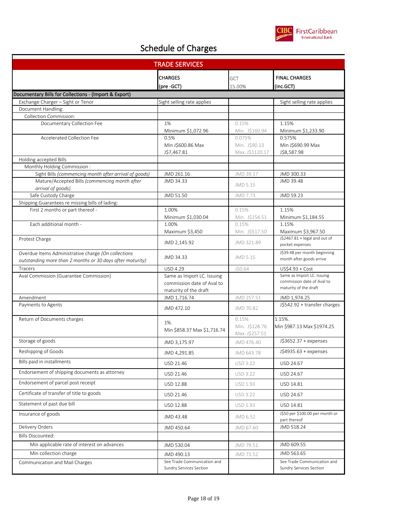

| <b>TRADE SERVICES</b>                                                                                            |                                    |                                  |                                                          |  |
|------------------------------------------------------------------------------------------------------------------|------------------------------------|----------------------------------|----------------------------------------------------------|--|
|                                                                                                                  | <b>CHARGES</b>                     | GCT                              | <b>FINAL CHARGES</b>                                     |  |
|                                                                                                                  | (pre -GCT)                         | 15.00%                           | (inc.GCT)                                                |  |
| Documentary Bills for Collections - (Import & Export)                                                            |                                    |                                  |                                                          |  |
| Exchange Charger - Sight or Tenor                                                                                | Sight selling rate applies         |                                  | Sight selling rate applies                               |  |
| Document Handling:                                                                                               |                                    |                                  |                                                          |  |
| Collection Commission:                                                                                           |                                    |                                  |                                                          |  |
| Documentary Collection Fee                                                                                       | 1%                                 | 0.15%                            | 1.15%                                                    |  |
|                                                                                                                  | Minimum \$1,072.96                 | Min. J\$160.94                   | Minimum \$1,233.90                                       |  |
| <b>Accelerated Collection Fee</b>                                                                                | 0.5%                               | 0.075%                           | 0.575%                                                   |  |
|                                                                                                                  | Min J\$600.86 Max<br>J\$7,467.81   | Min. J\$90.13<br>Max. J\$1120.17 | Min J\$690.99 Max<br>J\$8,587.98                         |  |
| Holding accepted Bills                                                                                           |                                    |                                  |                                                          |  |
| Monthly Holding Commission:                                                                                      |                                    |                                  |                                                          |  |
| Sight Bills (commencing month after arrival of goods)                                                            | JMD 261.16                         | JMD 39.17                        | JMD 300.33                                               |  |
| Mature/Accepted Bills (commencing month after                                                                    | JMD 34.33                          | JMD 5.15                         | JMD 39.48                                                |  |
| arrival of goods)                                                                                                |                                    |                                  |                                                          |  |
| Safe Custody Charge                                                                                              | JMD 51.50                          | JMD 7.73                         | JMD 59.23                                                |  |
| Shipping Guarantees re missing bills of lading:                                                                  |                                    |                                  |                                                          |  |
| First 2 months or part thereof -                                                                                 | 1.00%                              | 0.15%                            | 1.15%                                                    |  |
| Each additional month -                                                                                          | Minimum \$1,030.04<br>1.00%        | Min. J\$154.51                   | Minimum \$1,184.55                                       |  |
|                                                                                                                  | Maximum \$3,450                    | 0.15%<br>Min. J\$517.50          | 1.15%<br>Maximum \$3,967.50                              |  |
| Protest Charge                                                                                                   |                                    |                                  | J\$2467.81 + legal and out of                            |  |
|                                                                                                                  | JMD 2,145.92                       | JMD 321.89                       | pocket expenses                                          |  |
| Overdue Items Administrative charge (On collections<br>outstanding more than 2 months or 30 days after maturity) | JMD 34.33                          | JMD 5.15                         | J\$39.48 per month beginning<br>month after goods arrive |  |
| Tracers                                                                                                          | <b>USD 4.29</b>                    | J\$0.64                          | US\$4.93 + Cost                                          |  |
| Aval Commission (Guarantee Commission)                                                                           | Same as Import LC. Issuing         |                                  | Same as Import LC. Issuing                               |  |
|                                                                                                                  | commission date of Aval to         |                                  | commission date of Aval to                               |  |
|                                                                                                                  | maturity of the draft              |                                  | maturity of the draft                                    |  |
| Amendment                                                                                                        | JMD 1,716.74                       | JMD 257.51                       | JMD 1,974.25                                             |  |
| Payments to Agents                                                                                               | JMD 472.10                         | JMD 70.82                        | J\$542.92 + transfer charges                             |  |
| Return of Documents charges                                                                                      |                                    | 0.15%                            | 1.15%.                                                   |  |
|                                                                                                                  | 1%.<br>Min \$858.37 Max \$1,716.74 | Min. J\$128.76                   | Min \$987.13 Max \$1974.25                               |  |
|                                                                                                                  |                                    | Max. J\$257.51                   |                                                          |  |
| Storage of goods                                                                                                 | JMD 3,175.97                       | JMD 476.40                       | J\$3652.37 + expenses                                    |  |
| Reshipping of Goods                                                                                              | JMD 4,291.85                       | JMD 643.78                       | J\$4935.63 + expenses                                    |  |
| Bills paid in installments                                                                                       | USD 21.46                          | <b>USD 3.22</b>                  | USD 24.67                                                |  |
| Endorsement of shipping documents as attorney                                                                    | USD 21.46                          | <b>USD 3.22</b>                  | USD 24.67                                                |  |
| Endorsement of parcel post receipt                                                                               | USD 12.88                          | USD 1.93                         | USD 14.81                                                |  |
| Certificate of transfer of title to goods                                                                        | USD 21.46                          | USD 3.22                         | USD 24.67                                                |  |
| Statement of past due bill                                                                                       | USD 12.88                          | USD 1.93                         | USD 14.81                                                |  |
| Insurance of goods                                                                                               | JMD 43.48                          | JMD 6.52                         | J\$50 per \$100.00 per month or<br>part thereof          |  |
| Delivery Orders                                                                                                  | JMD 450.64                         | JMD 67.60                        | JMD 518.24                                               |  |
| <b>Bills Discounted:</b>                                                                                         |                                    |                                  |                                                          |  |
| Min applicable rate of interest on advances                                                                      | JMD 530.04                         | JMD 79.51                        | JMD 609.55                                               |  |
| Min collection charge                                                                                            | JMD 490.13                         | JMD 73.52                        | JMD 563.65                                               |  |
| Communication and Mail Charges                                                                                   | See Trade Communication and        |                                  | See Trade Communication and                              |  |
|                                                                                                                  | Sundry Services Section            |                                  | Sundry Services Section                                  |  |